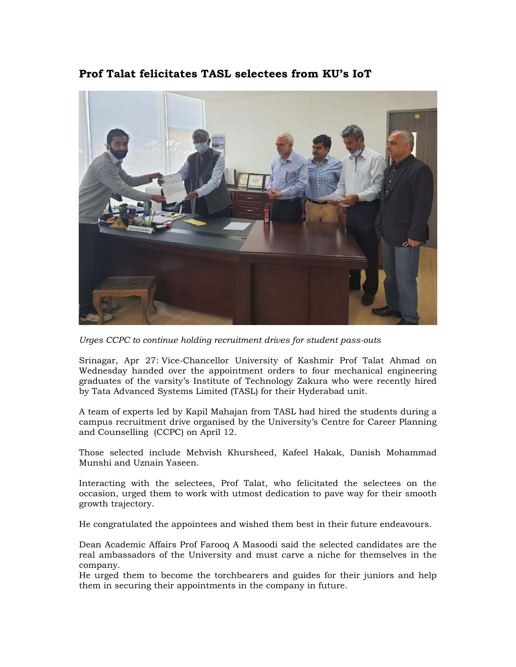## **Prof Talat felicitates TASL selectees from KU's IoT**



*Urges CCPC to continue holding recruitment drives for student pass-outs* 

Srinagar, Apr 27: Vice-Chancellor University of Kashmir Prof Talat Ahmad on Wednesday handed over the appointment orders to four mechanical engineering graduates of the varsity's Institute of Technology Zakura who were recently hired by Tata Advanced Systems Limited (TASL) for their Hyderabad unit.

A team of experts led by Kapil Mahajan from TASL had hired the students during a campus recruitment drive organised by the University's Centre for Career Planning and Counselling (CCPC) on April 12.

Those selected include Mehvish Khursheed, Kafeel Hakak, Danish Mohammad Munshi and Uznain Yaseen.

Interacting with the selectees, Prof Talat, who felicitated the selectees on the occasion, urged them to work with utmost dedication to pave way for their smooth growth trajectory.

He congratulated the appointees and wished them best in their future endeavours.

Dean Academic Affairs Prof Farooq A Masoodi said the selected candidates are the real ambassadors of the University and must carve a niche for themselves in the company.

He urged them to become the torchbearers and guides for their juniors and help them in securing their appointments in the company in future.